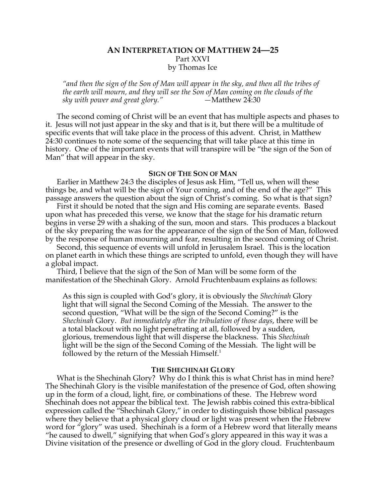# **AN INTERPRETATION OF MATTHEW 24—25** Part XXVI by Thomas Ice

*"and then the sign of the Son of Man will appear in the sky, and then all the tribes of the earth will mourn, and they will see the Son of Man coming on the clouds of the sky with power and great glory."* 

The second coming of Christ will be an event that has multiple aspects and phases to it. Jesus will not just appear in the sky and that is it, but there will be a multitude of specific events that will take place in the process of this advent. Christ, in Matthew 24:30 continues to note some of the sequencing that will take place at this time in history. One of the important events that will transpire will be "the sign of the Son of Man" that will appear in the sky.

## **SIGN OF THE SON OF MAN**

Earlier in Matthew 24:3 the disciples of Jesus ask Him, "Tell us, when will these things be, and what will be the sign of Your coming, and of the end of the age?" This passage answers the question about the sign of Christ's coming. So what is that sign?

First it should be noted that the sign and His coming are separate events. Based upon what has preceded this verse, we know that the stage for his dramatic return begins in verse 29 with a shaking of the sun, moon and stars. This produces a blackout of the sky preparing the was for the appearance of the sign of the Son of Man, followed by the response of human mourning and fear, resulting in the second coming of Christ.

Second, this sequence of events will unfold in Jerusalem Israel. This is the location on planet earth in which these things are scripted to unfold, even though they will have a global impact.

Third, I believe that the sign of the Son of Man will be some form of the manifestation of the Shechinah Glory. Arnold Fruchtenbaum explains as follows:

As this sign is coupled with God's glory, it is obviously the *Shechinah* Glory light that will signal the Second Coming of the Messiah. The answer to the second question, "What will be the sign of the Second Coming?" is the *Shechinah* Glory. *But immediately after the tribulation of those days*, there will be a total blackout with no light penetrating at all, followed by a sudden, glorious, tremendous light that will disperse the blackness. This *Shechinah* light will be the sign of the Second Coming of the Messiah. The light will be followed by the return of the Messiah Himself. $<sup>1</sup>$ </sup>

#### **THE SHECHINAH GLORY**

What is the Shechinah Glory? Why do I think this is what Christ has in mind here? The Shechinah Glory is the visible manifestation of the presence of God, often showing up in the form of a cloud, light, fire, or combinations of these. The Hebrew word Shechinah does not appear the biblical text. The Jewish rabbis coined this extra-biblical expression called the "Shechinah Glory," in order to distinguish those biblical passages where they believe that a physical glory cloud or light was present when the Hebrew word for "glory" was used. Shechinah is a form of a Hebrew word that literally means "he caused to dwell," signifying that when God's glory appeared in this way it was a Divine visitation of the presence or dwelling of God in the glory cloud. Fruchtenbaum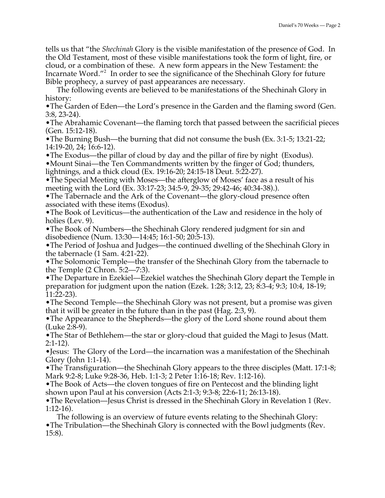tells us that "the *Shechinah* Glory is the visible manifestation of the presence of God. In the Old Testament, most of these visible manifestations took the form of light, fire, or cloud, or a combination of these. A new form appears in the New Testament: the Incarnate Word."<sup>2</sup> In order to see the significance of the Shechinah Glory for future Bible prophecy, a survey of past appearances are necessary.

The following events are believed to be manifestations of the Shechinah Glory in history:

•The Garden of Eden—the Lord's presence in the Garden and the flaming sword (Gen. 3:8, 23-24).

•The Abrahamic Covenant—the flaming torch that passed between the sacrificial pieces (Gen. 15:12-18).

•The Burning Bush—the burning that did not consume the bush (Ex. 3:1-5; 13:21-22; 14:19-20, 24; 16:6-12).

•The Exodus—the pillar of cloud by day and the pillar of fire by night (Exodus).

•Mount Sinai—the Ten Commandments written by the finger of God; thunders, lightnings, and a thick cloud (Ex. 19:16-20; 24:15-18 Deut. 5:22-27).

•The Special Meeting with Moses—the afterglow of Moses' face as a result of his meeting with the Lord (Ex. 33:17-23; 34:5-9, 29-35; 29:42-46; 40:34-38).).

•The Tabernacle and the Ark of the Covenant—the glory-cloud presence often associated with these items (Exodus).

•The Book of Leviticus—the authentication of the Law and residence in the holy of holies (Lev. 9).

•The Book of Numbers—the Shechinah Glory rendered judgment for sin and disobedience (Num. 13:30—14:45; 16:1-50; 20:5-13).

•The Period of Joshua and Judges—the continued dwelling of the Shechinah Glory in the tabernacle (1 Sam. 4:21-22).

•The Solomonic Temple—the transfer of the Shechinah Glory from the tabernacle to the Temple (2 Chron. 5:2—7:3).

•The Departure in Ezekiel—Ezekiel watches the Shechinah Glory depart the Temple in preparation for judgment upon the nation (Ezek. 1:28; 3:12, 23; 8:3-4; 9:3; 10:4, 18-19;  $11:22-23$ ).

•The Second Temple—the Shechinah Glory was not present, but a promise was given that it will be greater in the future than in the past (Hag. 2:3, 9).

•The Appearance to the Shepherds—the glory of the Lord shone round about them (Luke 2:8-9).

•The Star of Bethlehem—the star or glory-cloud that guided the Magi to Jesus (Matt. 2:1-12).

•Jesus: The Glory of the Lord—the incarnation was a manifestation of the Shechinah Glory (John 1:1-14).

•The Transfiguration—the Shechinah Glory appears to the three disciples (Matt. 17:1-8; Mark 9:2-8; Luke 9:28-36, Heb. 1:1-3; 2 Peter 1:16-18; Rev. 1:12-16).

•The Book of Acts—the cloven tongues of fire on Pentecost and the blinding light shown upon Paul at his conversion (Acts 2:1-3; 9:3-8; 22:6-11; 26:13-18).

•The Revelation—Jesus Christ is dressed in the Shechinah Glory in Revelation 1 (Rev. 1:12-16).

The following is an overview of future events relating to the Shechinah Glory: •The Tribulation—the Shechinah Glory is connected with the Bowl judgments (Rev. 15:8).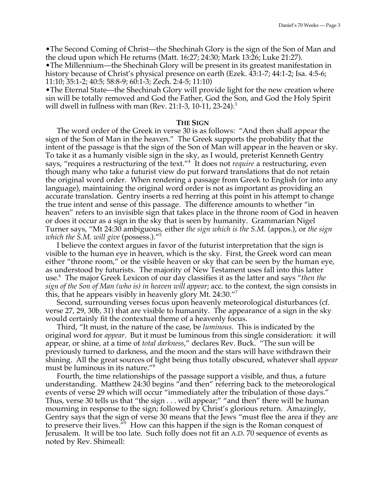•The Second Coming of Christ—the Shechinah Glory is the sign of the Son of Man and the cloud upon which He returns (Matt. 16:27; 24:30; Mark 13:26; Luke 21:27).

•The Millennium—the Shechinah Glory will be present in its greatest manifestation in history because of Christ's physical presence on earth (Ezek. 43:1-7; 44:1-2; Isa. 4:5-6; 11:10; 35:1-2; 40:5; 58:8-9; 60:1-3; Zech. 2:4-5; 11:10)

•The Eternal State—the Shechinah Glory will provide light for the new creation where sin will be totally removed and God the Father, God the Son, and God the Holy Spirit will dwell in fullness with man (Rev. 21:1-3, 10-11, 23-24).<sup>3</sup>

#### **THE SIGN**

The word order of the Greek in verse 30 is as follows: "And then shall appear the sign of the Son of Man in the heaven." The Greek supports the probability that the intent of the passage is that the sign of the Son of Man will appear in the heaven or sky. To take it as a humanly visible sign in the sky, as I would, preterist Kenneth Gentry says, "requires a restructuring of the text."<sup>4</sup> It does not *require* a restructuring, even though many who take a futurist view do put forward translations that do not retain the original word order. When rendering a passage from Greek to English (or into any language), maintaining the original word order is not as important as providing an accurate translation. Gentry inserts a red herring at this point in his attempt to change the true intent and sense of this passage. The difference amounts to whether "in heaven" refers to an invisible sign that takes place in the throne room of God in heaven or does it occur as a sign in the sky that is seen by humanity. Grammarian Nigel Turner says, "Mt 24:30 ambiguous, either *the sign which is the S.M.* (appos.), or *the sign which the S.M. will give* (possess.)."5

I believe the context argues in favor of the futurist interpretation that the sign is visible to the human eye in heaven, which is the sky. First, the Greek word can mean either "throne room," or the visible heaven or sky that can be seen by the human eye, as understood by futurists. The majority of New Testament uses fall into this latter use.6 The major Greek Lexicon of our day classifies it as the latter and says "*then the sign of the Son of Man (who is) in heaven will appear*; acc. to the context, the sign consists in this, that he appears visibly in heavenly glory Mt. 24:30."<sup>7</sup>

Second, surrounding verses focus upon heavenly meteorological disturbances (cf. verse 27, 29, 30b, 31) that are visible to humanity. The appearance of a sign in the sky would certainly fit the contextual theme of a heavenly focus.

Third, "It must, in the nature of the case, be *luminous*. This is indicated by the original word for *appear*. But it must be luminous from this single consideration: it will appear, or shine, at a time of *total darkness*," declares Rev. Buck. "The sun will be previously turned to darkness, and the moon and the stars will have withdrawn their shining. All the great sources of light being thus totally obscured, whatever shall *appear* must be luminous in its nature."<sup>8</sup>

Fourth, the time relationships of the passage support a visible, and thus, a future understanding. Matthew 24:30 begins "and then" referring back to the meteorological events of verse 29 which will occur "immediately after the tribulation of those days." Thus, verse 30 tells us that "the sign . . . will appear;" "and then" there will be human mourning in response to the sign; followed by Christ's glorious return. Amazingly, Gentry says that the sign of verse 30 means that the Jews "must flee the area if they are to preserve their lives.<sup>79</sup> How can this happen if the sign is the Roman conquest of Jerusalem. It will be too late. Such folly does not fit an A.D. 70 sequence of events as noted by Rev. Shimeall: